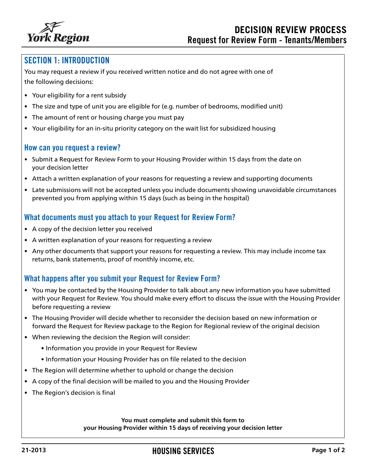

# SECTION 1: INTRODUCTION

You may request a review if you received written notice and do not agree with one of the following decisions:

- Your eligibility for a rent subsidy
- The size and type of unit you are eligible for (e.g. number of bedrooms, modified unit)
- The amount of rent or housing charge you must pay
- Your eligibility for an in-situ priority category on the wait list for subsidized housing

### How can you request a review?

- Submit a Request for Review Form to your Housing Provider within 15 days from the date on your decision letter
- Attach a written explanation of your reasons for requesting a review and supporting documents
- Late submissions will not be accepted unless you include documents showing unavoidable circumstances prevented you from applying within 15 days (such as being in the hospital)

## What documents must you attach to your Request for Review Form?

- A copy of the decision letter you received
- A written explanation of your reasons for requesting a review
- Any other documents that support your reasons for requesting a review. This may include income tax returns, bank statements, proof of monthly income, etc.

## What happens after you submit your Request for Review Form?

- You may be contacted by the Housing Provider to talk about any new information you have submitted with your Request for Review. You should make every effort to discuss the issue with the Housing Provider before requesting a review
- The Housing Provider will decide whether to reconsider the decision based on new information or forward the Request for Review package to the Region for Regional review of the original decision
- When reviewing the decision the Region will consider:
	- Information you provide in your Request for Review
	- Information your Housing Provider has on file related to the decision
- The Region will determine whether to uphold or change the decision
- A copy of the final decision will be mailed to you and the Housing Provider
- The Region's decision is final

**You must complete and submit this form to your Housing Provider within 15 days of receiving your decision letter**